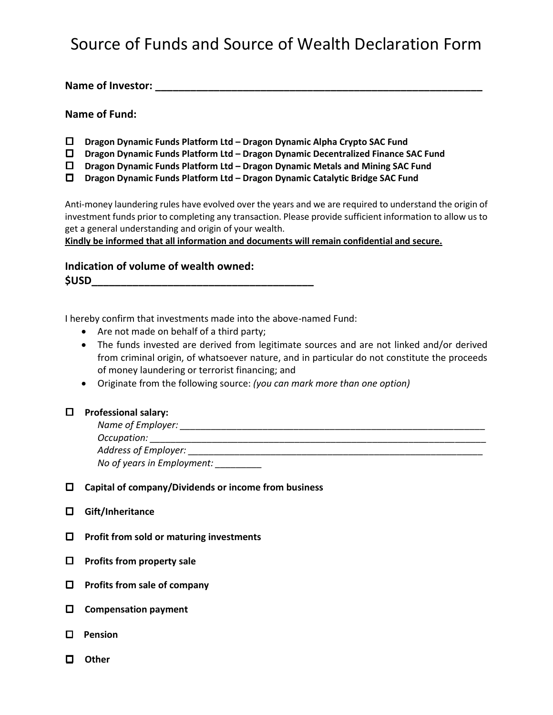## Source of Funds and Source of Wealth Declaration Form

**Name of Investor: \_\_\_\_\_\_\_\_\_\_\_\_\_\_\_\_\_\_\_\_\_\_\_\_\_\_\_\_\_\_\_\_\_\_\_\_\_\_\_\_\_\_\_\_\_\_\_\_\_\_\_\_\_\_\_\_**

### **Name of Fund:**

- **Dragon Dynamic Funds Platform Ltd – Dragon Dynamic Alpha Crypto SAC Fund**
- **Dragon Dynamic Funds Platform Ltd – Dragon Dynamic Decentralized Finance SAC Fund**
- **Dragon Dynamic Funds Platform Ltd – Dragon Dynamic Metals and Mining SAC Fund**
- **Dragon Dynamic Funds Platform Ltd – Dragon Dynamic Catalytic Bridge SAC Fund**

Anti-money laundering rules have evolved over the years and we are required to understand the origin of investment funds prior to completing any transaction. Please provide sufficient information to allow us to get a general understanding and origin of your wealth.

**Kindly be informed that all information and documents will remain confidential and secure.** 

## **Indication of volume of wealth owned: \$USD\_\_\_\_\_\_\_\_\_\_\_\_\_\_\_\_\_\_\_\_\_\_\_\_\_\_\_\_\_\_\_\_\_\_\_\_\_\_**

I hereby confirm that investments made into the above-named Fund:

- Are not made on behalf of a third party;
- The funds invested are derived from legitimate sources and are not linked and/or derived from criminal origin, of whatsoever nature, and in particular do not constitute the proceeds of money laundering or terrorist financing; and
- Originate from the following source: *(you can mark more than one option)*

#### **Professional salary:**

| Name of Employer: |  |  |
|-------------------|--|--|
|                   |  |  |

*Occupation: \_\_\_\_\_\_\_\_\_\_\_\_\_\_\_\_\_\_\_\_\_\_\_\_\_\_\_\_\_\_\_\_\_\_\_\_\_\_\_\_\_\_\_\_\_\_\_\_\_\_\_\_\_\_\_\_\_\_\_\_\_\_\_\_\_*

*Address of Employer: \_\_\_\_\_\_\_\_\_\_\_\_\_\_\_\_\_\_\_\_\_\_\_\_\_\_\_\_\_\_\_\_\_\_\_\_\_\_\_\_\_\_\_\_\_\_\_\_\_\_\_\_\_\_\_\_\_*

*No of years in Employment: \_\_\_\_\_\_\_\_\_* 

- **Capital of company/Dividends or income from business**
- **Gift/Inheritance**
- **Profit from sold or maturing investments**
- **Profits from property sale**
- **Profits from sale of company**
- **Compensation payment**
- **Pension**
- **Other**